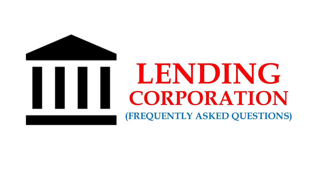



## **(FREQUENTLY ASKED QUESTIONS) LENDING CORPORATION**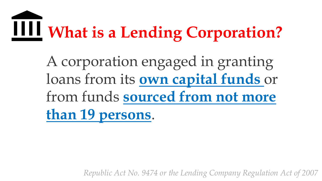# **What is a Lending Corporation?**

A corporation engaged in granting loans from its **own capital funds** or from funds **sourced from not more than 19 persons**.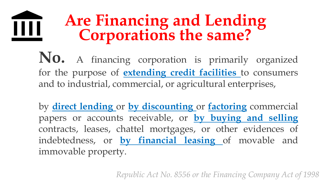#### **Are Financing and Lending** Ш **Corporations the same?**

**No.** <sup>A</sup> financing corporation is primarily organized for the purpose of **extending credit facilities** to consumers and to industrial, commercial, or agricultural enterprises,

by **direct lending** or **by discounting** or **factoring** commercial papers or accounts receivable, or **by buying and selling** contracts, leases, chattel mortgages, or other evidences of indebtedness, or **by financial leasing** of movable and immovable property.

*Republic Act No. 8556 or the Financing Company Act of 1998*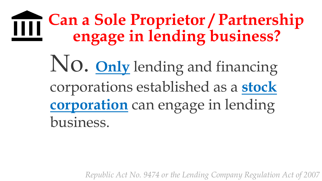#### **Can a Sole Proprietor / Partnership** TTT **engage in lending business?**

No. **Only** lending and financing corporations established as a **stock corporation** can engage in lending business.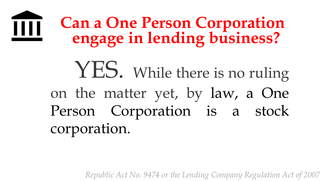#### **Can a One Person Corporation** Ш **engage in lending business?**

YES. While there is no ruling on the matter yet, by law, a One Person Corporation is a stock corporation.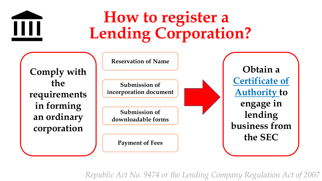

## **How to register a Lending Corporation?**

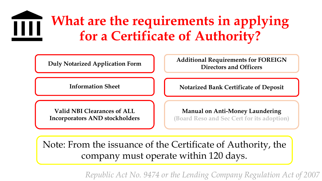#### **What are the requirements in applying for a Certificate of Authority?**



Note: From the issuance of the Certificate of Authority, the company must operate within 120 days.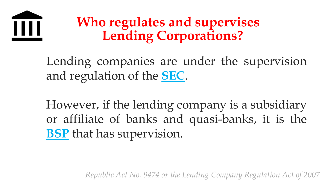

### **Who regulates and supervises Lending Corporations?**

Lending companies are under the supervision and regulation of the **SEC**.

However, if the lending company is a subsidiary or affiliate of banks and quasi-banks, it is the **BSP** that has supervision.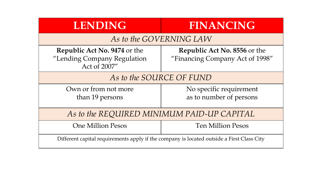| <b>LENDING</b>                                                                            | <b>FINANCING</b>                                                       |
|-------------------------------------------------------------------------------------------|------------------------------------------------------------------------|
| As to the GOVERNING LAW                                                                   |                                                                        |
| <b>Republic Act No. 9474 or the</b><br>"Lending Company Regulation<br>Act of 2007"        | <b>Republic Act No. 8556 or the</b><br>"Financing Company Act of 1998" |
| As to the SOURCE OF FUND                                                                  |                                                                        |
| Own or from not more<br>than 19 persons                                                   | No specific requirement<br>as to number of persons                     |
| As to the REQUIRED MINIMUM PAID-UP CAPITAL                                                |                                                                        |
| <b>One Million Pesos</b>                                                                  | <b>Ten Million Pesos</b>                                               |
| Different capital requirements apply if the company is located outside a First Class City |                                                                        |